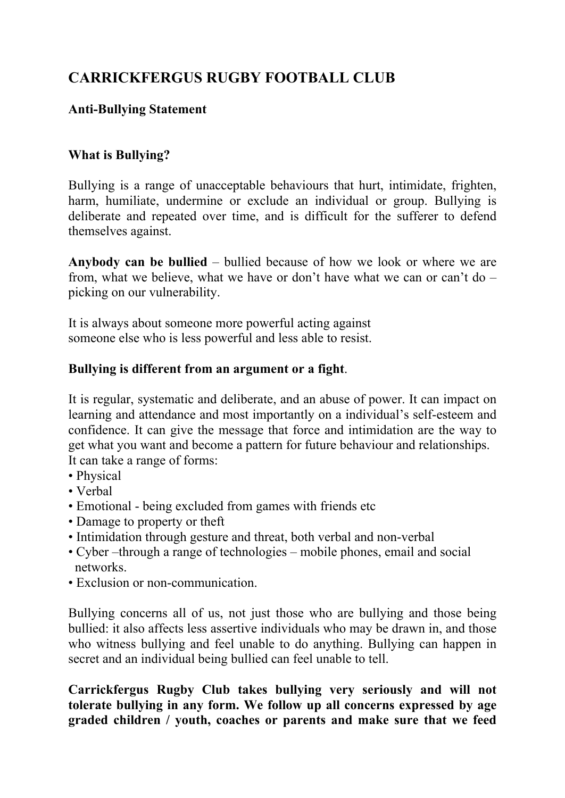# **CARRICKFERGUS RUGBY FOOTBALL CLUB**

## **Anti-Bullying Statement**

#### **What is Bullying?**

Bullying is a range of unacceptable behaviours that hurt, intimidate, frighten, harm, humiliate, undermine or exclude an individual or group. Bullying is deliberate and repeated over time, and is difficult for the sufferer to defend themselves against.

**Anybody can be bullied** – bullied because of how we look or where we are from, what we believe, what we have or don't have what we can or can't do – picking on our vulnerability.

It is always about someone more powerful acting against someone else who is less powerful and less able to resist.

### **Bullying is different from an argument or a fight**.

It is regular, systematic and deliberate, and an abuse of power. It can impact on learning and attendance and most importantly on a individual's self-esteem and confidence. It can give the message that force and intimidation are the way to get what you want and become a pattern for future behaviour and relationships. It can take a range of forms:

- Physical
- Verbal
- Emotional being excluded from games with friends etc
- Damage to property or theft
- Intimidation through gesture and threat, both verbal and non-verbal
- Cyber –through a range of technologies mobile phones, email and social networks.<br>• Exclusion or non-communication.
- 

Bullying concerns all of us, not just those who are bullying and those being bullied: it also affects less assertive individuals who may be drawn in, and those who witness bullying and feel unable to do anything. Bullying can happen in secret and an individual being bullied can feel unable to tell.

**Carrickfergus Rugby Club takes bullying very seriously and will not tolerate bullying in any form. We follow up all concerns expressed by age graded children / youth, coaches or parents and make sure that we feed**